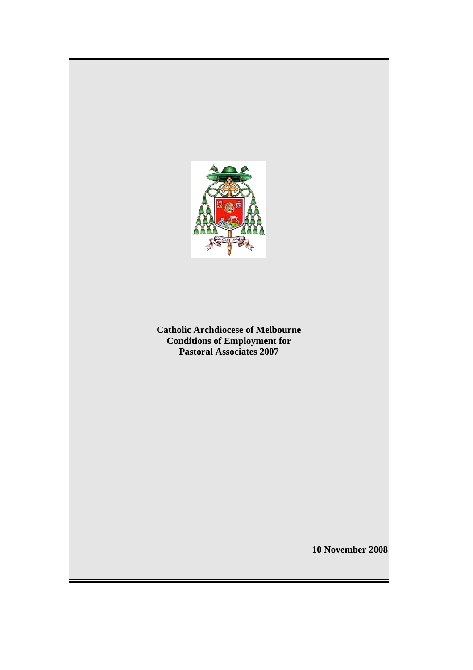

**Catholic Archdiocese of Melbourne Conditions of Employment for Pastoral Associates 2007** 

**10 November 2008**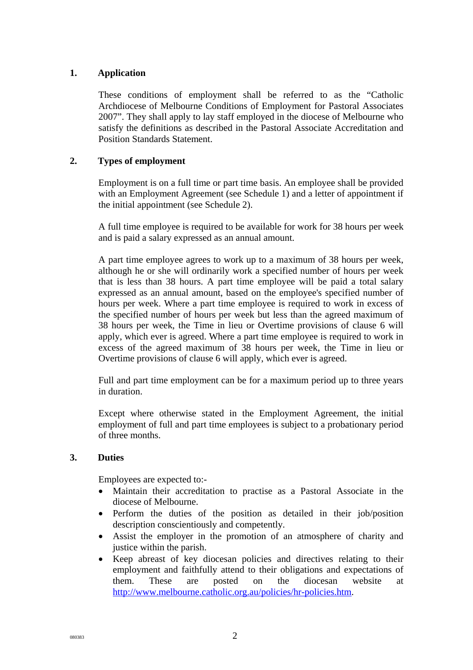# **1. Application**

These conditions of employment shall be referred to as the "Catholic Archdiocese of Melbourne Conditions of Employment for Pastoral Associates 2007". They shall apply to lay staff employed in the diocese of Melbourne who satisfy the definitions as described in the Pastoral Associate Accreditation and Position Standards Statement.

## **2. Types of employment**

Employment is on a full time or part time basis. An employee shall be provided with an Employment Agreement (see Schedule 1) and a letter of appointment if the initial appointment (see Schedule 2).

A full time employee is required to be available for work for 38 hours per week and is paid a salary expressed as an annual amount.

A part time employee agrees to work up to a maximum of 38 hours per week, although he or she will ordinarily work a specified number of hours per week that is less than 38 hours. A part time employee will be paid a total salary expressed as an annual amount, based on the employee's specified number of hours per week. Where a part time employee is required to work in excess of the specified number of hours per week but less than the agreed maximum of 38 hours per week, the Time in lieu or Overtime provisions of clause 6 will apply, which ever is agreed. Where a part time employee is required to work in excess of the agreed maximum of 38 hours per week, the Time in lieu or Overtime provisions of clause 6 will apply, which ever is agreed.

Full and part time employment can be for a maximum period up to three years in duration.

Except where otherwise stated in the Employment Agreement, the initial employment of full and part time employees is subject to a probationary period of three months.

#### **3. Duties**

Employees are expected to:-

- Maintain their accreditation to practise as a Pastoral Associate in the diocese of Melbourne.
- Perform the duties of the position as detailed in their job/position description conscientiously and competently.
- Assist the employer in the promotion of an atmosphere of charity and justice within the parish.
- Keep abreast of key diocesan policies and directives relating to their employment and faithfully attend to their obligations and expectations of them. These are posted on the diocesan website at <http://www.melbourne.catholic.org.au/policies/hr-policies.htm>.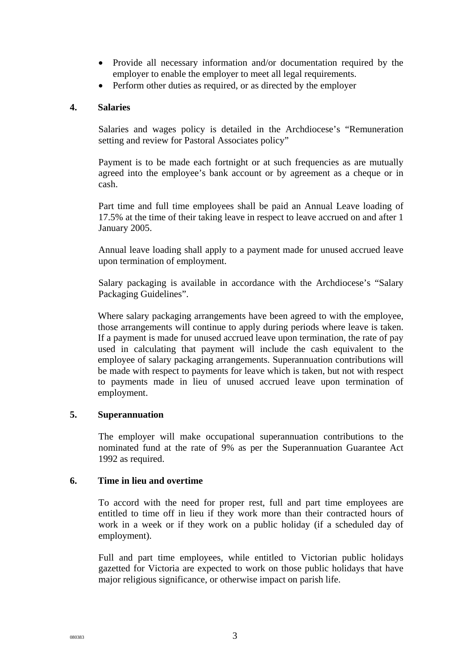- Provide all necessary information and/or documentation required by the employer to enable the employer to meet all legal requirements.
- Perform other duties as required, or as directed by the employer

#### **4. Salaries**

Salaries and wages policy is detailed in the Archdiocese's "Remuneration setting and review for Pastoral Associates policy"

Payment is to be made each fortnight or at such frequencies as are mutually agreed into the employee's bank account or by agreement as a cheque or in cash.

Part time and full time employees shall be paid an Annual Leave loading of 17.5% at the time of their taking leave in respect to leave accrued on and after 1 January 2005.

Annual leave loading shall apply to a payment made for unused accrued leave upon termination of employment.

Salary packaging is available in accordance with the Archdiocese's "Salary Packaging Guidelines".

Where salary packaging arrangements have been agreed to with the employee, those arrangements will continue to apply during periods where leave is taken. If a payment is made for unused accrued leave upon termination, the rate of pay used in calculating that payment will include the cash equivalent to the employee of salary packaging arrangements. Superannuation contributions will be made with respect to payments for leave which is taken, but not with respect to payments made in lieu of unused accrued leave upon termination of employment.

# **5. Superannuation**

The employer will make occupational superannuation contributions to the nominated fund at the rate of 9% as per the Superannuation Guarantee Act 1992 as required.

#### **6. Time in lieu and overtime**

To accord with the need for proper rest, full and part time employees are entitled to time off in lieu if they work more than their contracted hours of work in a week or if they work on a public holiday (if a scheduled day of employment).

Full and part time employees, while entitled to Victorian public holidays gazetted for Victoria are expected to work on those public holidays that have major religious significance, or otherwise impact on parish life.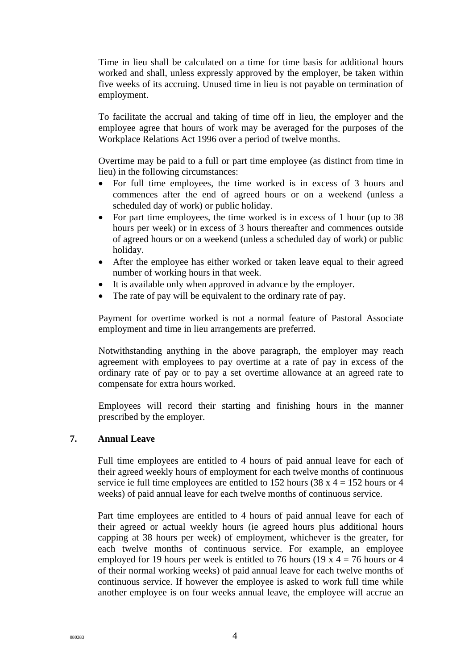Time in lieu shall be calculated on a time for time basis for additional hours worked and shall, unless expressly approved by the employer, be taken within five weeks of its accruing. Unused time in lieu is not payable on termination of employment.

To facilitate the accrual and taking of time off in lieu, the employer and the employee agree that hours of work may be averaged for the purposes of the Workplace Relations Act 1996 over a period of twelve months.

Overtime may be paid to a full or part time employee (as distinct from time in lieu) in the following circumstances:

- For full time employees, the time worked is in excess of 3 hours and commences after the end of agreed hours or on a weekend (unless a scheduled day of work) or public holiday.
- For part time employees, the time worked is in excess of 1 hour (up to 38) hours per week) or in excess of 3 hours thereafter and commences outside of agreed hours or on a weekend (unless a scheduled day of work) or public holiday.
- After the employee has either worked or taken leave equal to their agreed number of working hours in that week.
- It is available only when approved in advance by the employer.
- The rate of pay will be equivalent to the ordinary rate of pay.

Payment for overtime worked is not a normal feature of Pastoral Associate employment and time in lieu arrangements are preferred.

Notwithstanding anything in the above paragraph, the employer may reach agreement with employees to pay overtime at a rate of pay in excess of the ordinary rate of pay or to pay a set overtime allowance at an agreed rate to compensate for extra hours worked.

Employees will record their starting and finishing hours in the manner prescribed by the employer.

#### **7. Annual Leave**

Full time employees are entitled to 4 hours of paid annual leave for each of their agreed weekly hours of employment for each twelve months of continuous service ie full time employees are entitled to 152 hours (38 x  $4 = 152$  hours or 4 weeks) of paid annual leave for each twelve months of continuous service.

Part time employees are entitled to 4 hours of paid annual leave for each of their agreed or actual weekly hours (ie agreed hours plus additional hours capping at 38 hours per week) of employment, whichever is the greater, for each twelve months of continuous service. For example, an employee employed for 19 hours per week is entitled to 76 hours (19 x  $4 = 76$  hours or 4 of their normal working weeks) of paid annual leave for each twelve months of continuous service. If however the employee is asked to work full time while another employee is on four weeks annual leave, the employee will accrue an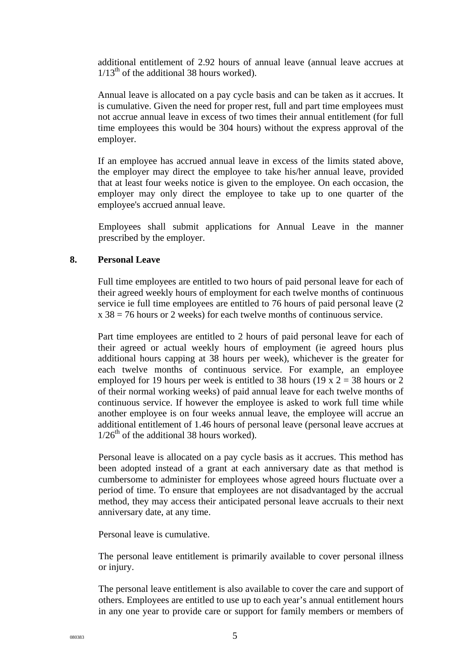additional entitlement of 2.92 hours of annual leave (annual leave accrues at  $1/13^{th}$  of the additional 38 hours worked).

Annual leave is allocated on a pay cycle basis and can be taken as it accrues. It is cumulative. Given the need for proper rest, full and part time employees must not accrue annual leave in excess of two times their annual entitlement (for full time employees this would be 304 hours) without the express approval of the employer.

If an employee has accrued annual leave in excess of the limits stated above, the employer may direct the employee to take his/her annual leave, provided that at least four weeks notice is given to the employee. On each occasion, the employer may only direct the employee to take up to one quarter of the employee's accrued annual leave.

Employees shall submit applications for Annual Leave in the manner prescribed by the employer.

## **8. Personal Leave**

Full time employees are entitled to two hours of paid personal leave for each of their agreed weekly hours of employment for each twelve months of continuous service ie full time employees are entitled to 76 hours of paid personal leave (2  $x 38 = 76$  hours or 2 weeks) for each twelve months of continuous service.

Part time employees are entitled to 2 hours of paid personal leave for each of their agreed or actual weekly hours of employment (ie agreed hours plus additional hours capping at 38 hours per week), whichever is the greater for each twelve months of continuous service. For example, an employee employed for 19 hours per week is entitled to 38 hours (19 x  $2 = 38$  hours or 2 of their normal working weeks) of paid annual leave for each twelve months of continuous service. If however the employee is asked to work full time while another employee is on four weeks annual leave, the employee will accrue an additional entitlement of 1.46 hours of personal leave (personal leave accrues at  $1/26<sup>th</sup>$  of the additional 38 hours worked).

Personal leave is allocated on a pay cycle basis as it accrues. This method has been adopted instead of a grant at each anniversary date as that method is cumbersome to administer for employees whose agreed hours fluctuate over a period of time. To ensure that employees are not disadvantaged by the accrual method, they may access their anticipated personal leave accruals to their next anniversary date, at any time.

Personal leave is cumulative.

The personal leave entitlement is primarily available to cover personal illness or injury.

The personal leave entitlement is also available to cover the care and support of others. Employees are entitled to use up to each year's annual entitlement hours in any one year to provide care or support for family members or members of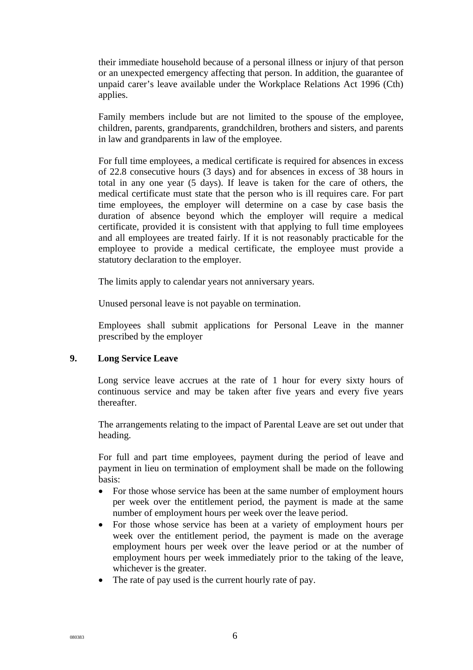their immediate household because of a personal illness or injury of that person or an unexpected emergency affecting that person. In addition, the guarantee of unpaid carer's leave available under the Workplace Relations Act 1996 (Cth) applies.

Family members include but are not limited to the spouse of the employee, children, parents, grandparents, grandchildren, brothers and sisters, and parents in law and grandparents in law of the employee.

For full time employees, a medical certificate is required for absences in excess of 22.8 consecutive hours (3 days) and for absences in excess of 38 hours in total in any one year (5 days). If leave is taken for the care of others, the medical certificate must state that the person who is ill requires care. For part time employees, the employer will determine on a case by case basis the duration of absence beyond which the employer will require a medical certificate, provided it is consistent with that applying to full time employees and all employees are treated fairly. If it is not reasonably practicable for the employee to provide a medical certificate, the employee must provide a statutory declaration to the employer.

The limits apply to calendar years not anniversary years.

Unused personal leave is not payable on termination.

Employees shall submit applications for Personal Leave in the manner prescribed by the employer

#### **9. Long Service Leave**

Long service leave accrues at the rate of 1 hour for every sixty hours of continuous service and may be taken after five years and every five years thereafter.

The arrangements relating to the impact of Parental Leave are set out under that heading.

For full and part time employees, payment during the period of leave and payment in lieu on termination of employment shall be made on the following basis:

- For those whose service has been at the same number of employment hours per week over the entitlement period, the payment is made at the same number of employment hours per week over the leave period.
- For those whose service has been at a variety of employment hours per week over the entitlement period, the payment is made on the average employment hours per week over the leave period or at the number of employment hours per week immediately prior to the taking of the leave, whichever is the greater.
- The rate of pay used is the current hourly rate of pay.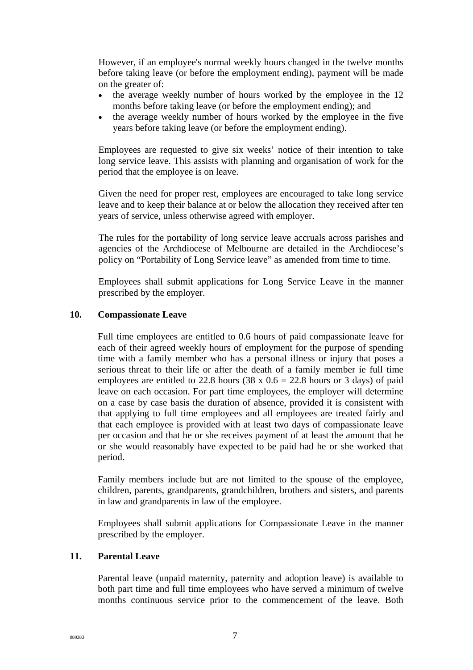However, if an employee's normal weekly hours changed in the twelve months before taking leave (or before the employment ending), payment will be made on the greater of:

- the average weekly number of hours worked by the employee in the 12 months before taking leave (or before the employment ending); and
- the average weekly number of hours worked by the employee in the five years before taking leave (or before the employment ending).

Employees are requested to give six weeks' notice of their intention to take long service leave. This assists with planning and organisation of work for the period that the employee is on leave.

Given the need for proper rest, employees are encouraged to take long service leave and to keep their balance at or below the allocation they received after ten years of service, unless otherwise agreed with employer.

The rules for the portability of long service leave accruals across parishes and agencies of the Archdiocese of Melbourne are detailed in the Archdiocese's policy on "Portability of Long Service leave" as amended from time to time.

Employees shall submit applications for Long Service Leave in the manner prescribed by the employer.

#### **10. Compassionate Leave**

Full time employees are entitled to 0.6 hours of paid compassionate leave for each of their agreed weekly hours of employment for the purpose of spending time with a family member who has a personal illness or injury that poses a serious threat to their life or after the death of a family member ie full time employees are entitled to 22.8 hours (38 x  $0.6 = 22.8$  hours or 3 days) of paid leave on each occasion. For part time employees, the employer will determine on a case by case basis the duration of absence, provided it is consistent with that applying to full time employees and all employees are treated fairly and that each employee is provided with at least two days of compassionate leave per occasion and that he or she receives payment of at least the amount that he or she would reasonably have expected to be paid had he or she worked that period.

Family members include but are not limited to the spouse of the employee, children, parents, grandparents, grandchildren, brothers and sisters, and parents in law and grandparents in law of the employee.

Employees shall submit applications for Compassionate Leave in the manner prescribed by the employer.

#### **11. Parental Leave**

Parental leave (unpaid maternity, paternity and adoption leave) is available to both part time and full time employees who have served a minimum of twelve months continuous service prior to the commencement of the leave. Both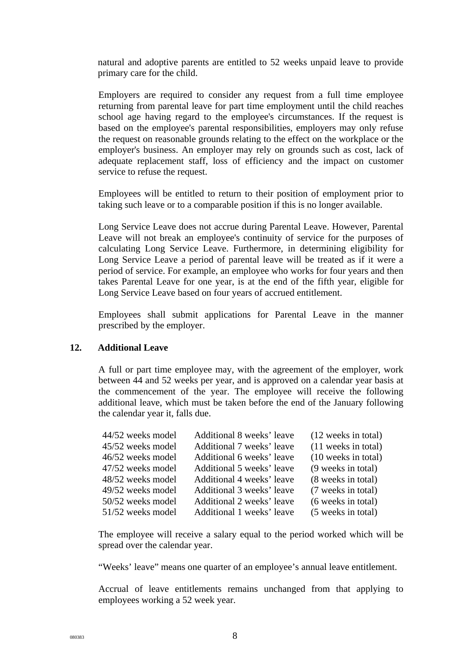natural and adoptive parents are entitled to 52 weeks unpaid leave to provide primary care for the child.

Employers are required to consider any request from a full time employee returning from parental leave for part time employment until the child reaches school age having regard to the employee's circumstances. If the request is based on the employee's parental responsibilities, employers may only refuse the request on reasonable grounds relating to the effect on the workplace or the employer's business. An employer may rely on grounds such as cost, lack of adequate replacement staff, loss of efficiency and the impact on customer service to refuse the request.

Employees will be entitled to return to their position of employment prior to taking such leave or to a comparable position if this is no longer available.

Long Service Leave does not accrue during Parental Leave. However, Parental Leave will not break an employee's continuity of service for the purposes of calculating Long Service Leave. Furthermore, in determining eligibility for Long Service Leave a period of parental leave will be treated as if it were a period of service. For example, an employee who works for four years and then takes Parental Leave for one year, is at the end of the fifth year, eligible for Long Service Leave based on four years of accrued entitlement.

Employees shall submit applications for Parental Leave in the manner prescribed by the employer.

#### **12. Additional Leave**

A full or part time employee may, with the agreement of the employer, work between 44 and 52 weeks per year, and is approved on a calendar year basis at the commencement of the year. The employee will receive the following additional leave, which must be taken before the end of the January following the calendar year it, falls due.

| 44/52 weeks model | Additional 8 weeks' leave | (12 weeks in total) |
|-------------------|---------------------------|---------------------|
| 45/52 weeks model | Additional 7 weeks' leave | (11 weeks in total) |
| 46/52 weeks model | Additional 6 weeks' leave | (10 weeks in total) |
| 47/52 weeks model | Additional 5 weeks' leave | (9 weeks in total)  |
| 48/52 weeks model | Additional 4 weeks' leave | (8 weeks in total)  |
| 49/52 weeks model | Additional 3 weeks' leave | (7 weeks in total)  |
| 50/52 weeks model | Additional 2 weeks' leave | (6 weeks in total)  |
| 51/52 weeks model | Additional 1 weeks' leave | (5 weeks in total)  |

The employee will receive a salary equal to the period worked which will be spread over the calendar year.

"Weeks' leave" means one quarter of an employee's annual leave entitlement.

Accrual of leave entitlements remains unchanged from that applying to employees working a 52 week year.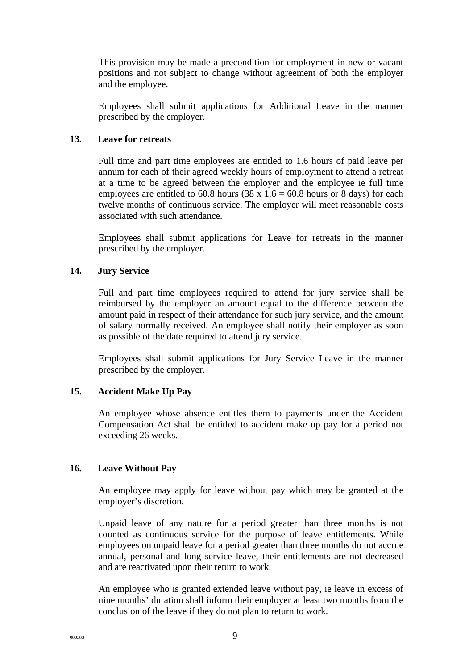This provision may be made a precondition for employment in new or vacant positions and not subject to change without agreement of both the employer and the employee.

Employees shall submit applications for Additional Leave in the manner prescribed by the employer.

## **13. Leave for retreats**

Full time and part time employees are entitled to 1.6 hours of paid leave per annum for each of their agreed weekly hours of employment to attend a retreat at a time to be agreed between the employer and the employee ie full time employees are entitled to 60.8 hours (38 x  $1.6 = 60.8$  hours or 8 days) for each twelve months of continuous service. The employer will meet reasonable costs associated with such attendance.

Employees shall submit applications for Leave for retreats in the manner prescribed by the employer.

## **14. Jury Service**

Full and part time employees required to attend for jury service shall be reimbursed by the employer an amount equal to the difference between the amount paid in respect of their attendance for such jury service, and the amount of salary normally received. An employee shall notify their employer as soon as possible of the date required to attend jury service.

Employees shall submit applications for Jury Service Leave in the manner prescribed by the employer.

# **15. Accident Make Up Pay**

An employee whose absence entitles them to payments under the Accident Compensation Act shall be entitled to accident make up pay for a period not exceeding 26 weeks.

#### **16. Leave Without Pay**

An employee may apply for leave without pay which may be granted at the employer's discretion.

Unpaid leave of any nature for a period greater than three months is not counted as continuous service for the purpose of leave entitlements. While employees on unpaid leave for a period greater than three months do not accrue annual, personal and long service leave, their entitlements are not decreased and are reactivated upon their return to work.

An employee who is granted extended leave without pay, ie leave in excess of nine months' duration shall inform their employer at least two months from the conclusion of the leave if they do not plan to return to work.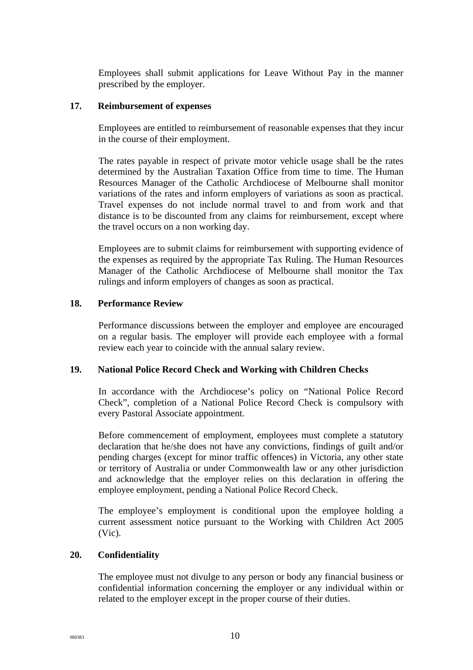Employees shall submit applications for Leave Without Pay in the manner prescribed by the employer.

#### **17. Reimbursement of expenses**

Employees are entitled to reimbursement of reasonable expenses that they incur in the course of their employment.

The rates payable in respect of private motor vehicle usage shall be the rates determined by the Australian Taxation Office from time to time. The Human Resources Manager of the Catholic Archdiocese of Melbourne shall monitor variations of the rates and inform employers of variations as soon as practical. Travel expenses do not include normal travel to and from work and that distance is to be discounted from any claims for reimbursement, except where the travel occurs on a non working day.

Employees are to submit claims for reimbursement with supporting evidence of the expenses as required by the appropriate Tax Ruling. The Human Resources Manager of the Catholic Archdiocese of Melbourne shall monitor the Tax rulings and inform employers of changes as soon as practical.

#### **18. Performance Review**

Performance discussions between the employer and employee are encouraged on a regular basis. The employer will provide each employee with a formal review each year to coincide with the annual salary review.

#### **19. National Police Record Check and Working with Children Checks**

In accordance with the Archdiocese's policy on "National Police Record Check", completion of a National Police Record Check is compulsory with every Pastoral Associate appointment.

Before commencement of employment, employees must complete a statutory declaration that he/she does not have any convictions, findings of guilt and/or pending charges (except for minor traffic offences) in Victoria, any other state or territory of Australia or under Commonwealth law or any other jurisdiction and acknowledge that the employer relies on this declaration in offering the employee employment, pending a National Police Record Check.

The employee's employment is conditional upon the employee holding a current assessment notice pursuant to the Working with Children Act 2005 (Vic).

### **20. Confidentiality**

The employee must not divulge to any person or body any financial business or confidential information concerning the employer or any individual within or related to the employer except in the proper course of their duties.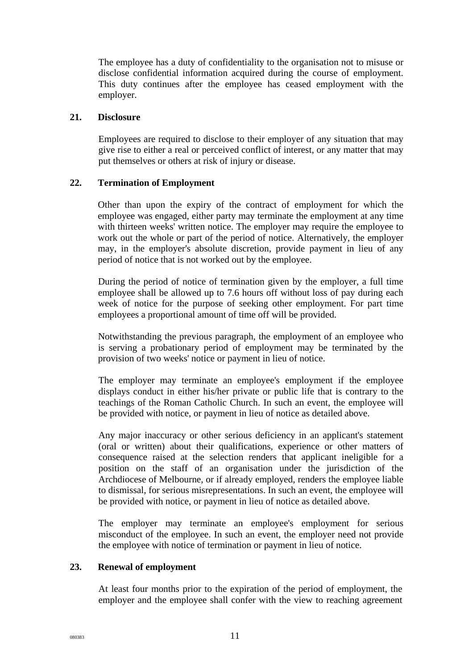The employee has a duty of confidentiality to the organisation not to misuse or disclose confidential information acquired during the course of employment. This duty continues after the employee has ceased employment with the employer.

#### **21. Disclosure**

Employees are required to disclose to their employer of any situation that may give rise to either a real or perceived conflict of interest, or any matter that may put themselves or others at risk of injury or disease.

## **22. Termination of Employment**

Other than upon the expiry of the contract of employment for which the employee was engaged, either party may terminate the employment at any time with thirteen weeks' written notice. The employer may require the employee to work out the whole or part of the period of notice. Alternatively, the employer may, in the employer's absolute discretion, provide payment in lieu of any period of notice that is not worked out by the employee.

During the period of notice of termination given by the employer, a full time employee shall be allowed up to 7.6 hours off without loss of pay during each week of notice for the purpose of seeking other employment. For part time employees a proportional amount of time off will be provided.

Notwithstanding the previous paragraph, the employment of an employee who is serving a probationary period of employment may be terminated by the provision of two weeks' notice or payment in lieu of notice.

The employer may terminate an employee's employment if the employee displays conduct in either his/her private or public life that is contrary to the teachings of the Roman Catholic Church. In such an event, the employee will be provided with notice, or payment in lieu of notice as detailed above.

Any major inaccuracy or other serious deficiency in an applicant's statement (oral or written) about their qualifications, experience or other matters of consequence raised at the selection renders that applicant ineligible for a position on the staff of an organisation under the jurisdiction of the Archdiocese of Melbourne, or if already employed, renders the employee liable to dismissal, for serious misrepresentations. In such an event, the employee will be provided with notice, or payment in lieu of notice as detailed above.

The employer may terminate an employee's employment for serious misconduct of the employee. In such an event, the employer need not provide the employee with notice of termination or payment in lieu of notice.

# **23. Renewal of employment**

At least four months prior to the expiration of the period of employment, the employer and the employee shall confer with the view to reaching agreement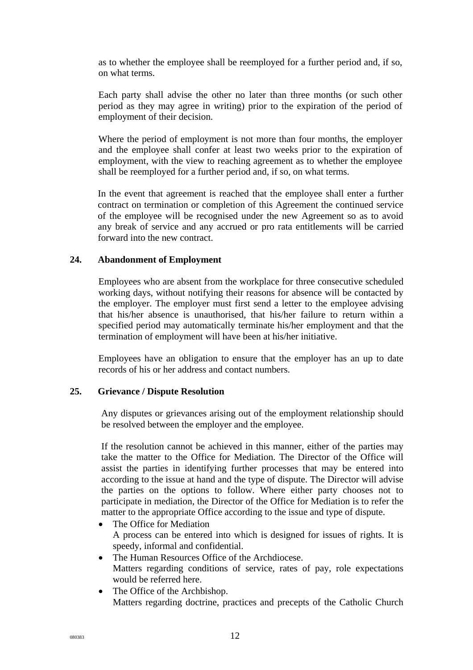as to whether the employee shall be reemployed for a further period and, if so, on what terms.

Each party shall advise the other no later than three months (or such other period as they may agree in writing) prior to the expiration of the period of employment of their decision.

Where the period of employment is not more than four months, the employer and the employee shall confer at least two weeks prior to the expiration of employment, with the view to reaching agreement as to whether the employee shall be reemployed for a further period and, if so, on what terms.

In the event that agreement is reached that the employee shall enter a further contract on termination or completion of this Agreement the continued service of the employee will be recognised under the new Agreement so as to avoid any break of service and any accrued or pro rata entitlements will be carried forward into the new contract.

#### **24. Abandonment of Employment**

Employees who are absent from the workplace for three consecutive scheduled working days, without notifying their reasons for absence will be contacted by the employer. The employer must first send a letter to the employee advising that his/her absence is unauthorised, that his/her failure to return within a specified period may automatically terminate his/her employment and that the termination of employment will have been at his/her initiative.

Employees have an obligation to ensure that the employer has an up to date records of his or her address and contact numbers.

#### **25. Grievance / Dispute Resolution**

Any disputes or grievances arising out of the employment relationship should be resolved between the employer and the employee.

If the resolution cannot be achieved in this manner, either of the parties may take the matter to the Office for Mediation. The Director of the Office will assist the parties in identifying further processes that may be entered into according to the issue at hand and the type of dispute. The Director will advise the parties on the options to follow. Where either party chooses not to participate in mediation, the Director of the Office for Mediation is to refer the matter to the appropriate Office according to the issue and type of dispute.

- The Office for Mediation A process can be entered into which is designed for issues of rights. It is speedy, informal and confidential.
- The Human Resources Office of the Archdiocese. Matters regarding conditions of service, rates of pay, role expectations would be referred here.
- The Office of the Archbishop. Matters regarding doctrine, practices and precepts of the Catholic Church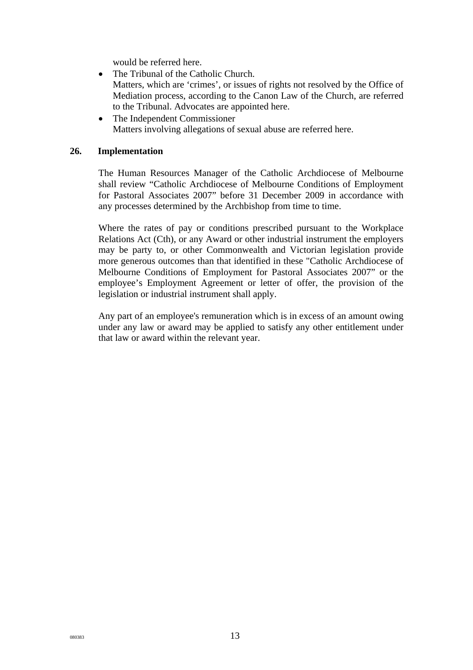would be referred here.

- The Tribunal of the Catholic Church. Matters, which are 'crimes', or issues of rights not resolved by the Office of Mediation process, according to the Canon Law of the Church, are referred to the Tribunal. Advocates are appointed here.
- The Independent Commissioner Matters involving allegations of sexual abuse are referred here.

### **26. Implementation**

The Human Resources Manager of the Catholic Archdiocese of Melbourne shall review "Catholic Archdiocese of Melbourne Conditions of Employment for Pastoral Associates 2007" before 31 December 2009 in accordance with any processes determined by the Archbishop from time to time.

Where the rates of pay or conditions prescribed pursuant to the Workplace Relations Act (Cth), or any Award or other industrial instrument the employers may be party to, or other Commonwealth and Victorian legislation provide more generous outcomes than that identified in these "Catholic Archdiocese of Melbourne Conditions of Employment for Pastoral Associates 2007" or the employee's Employment Agreement or letter of offer, the provision of the legislation or industrial instrument shall apply.

Any part of an employee's remuneration which is in excess of an amount owing under any law or award may be applied to satisfy any other entitlement under that law or award within the relevant year.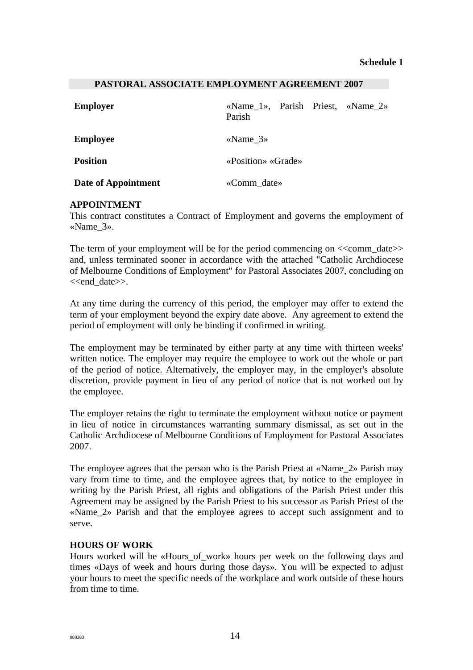#### **PASTORAL ASSOCIATE EMPLOYMENT AGREEMENT 2007**

| <b>Employer</b>     | «Name_1», Parish Priest, «Name_2»<br>Parish |  |
|---------------------|---------------------------------------------|--|
| <b>Employee</b>     | «Name $3\%$                                 |  |
| <b>Position</b>     | «Position» «Grade»                          |  |
| Date of Appointment | «Comm_date»                                 |  |

#### **APPOINTMENT**

This contract constitutes a Contract of Employment and governs the employment of «Name\_3».

The term of your employment will be for the period commencing on  $\ll$ comm date $\gg$ and, unless terminated sooner in accordance with the attached "Catholic Archdiocese of Melbourne Conditions of Employment" for Pastoral Associates 2007, concluding on <<end\_date>>.

At any time during the currency of this period, the employer may offer to extend the term of your employment beyond the expiry date above. Any agreement to extend the period of employment will only be binding if confirmed in writing.

The employment may be terminated by either party at any time with thirteen weeks' written notice. The employer may require the employee to work out the whole or part of the period of notice. Alternatively, the employer may, in the employer's absolute discretion, provide payment in lieu of any period of notice that is not worked out by the employee.

The employer retains the right to terminate the employment without notice or payment in lieu of notice in circumstances warranting summary dismissal, as set out in the Catholic Archdiocese of Melbourne Conditions of Employment for Pastoral Associates 2007.

The employee agrees that the person who is the Parish Priest at «Name\_2» Parish may vary from time to time, and the employee agrees that, by notice to the employee in writing by the Parish Priest, all rights and obligations of the Parish Priest under this Agreement may be assigned by the Parish Priest to his successor as Parish Priest of the «Name  $2$ » Parish and that the employee agrees to accept such assignment and to serve.

### **HOURS OF WORK**

Hours worked will be «Hours of work» hours per week on the following days and times «Days of week and hours during those days». You will be expected to adjust your hours to meet the specific needs of the workplace and work outside of these hours from time to time.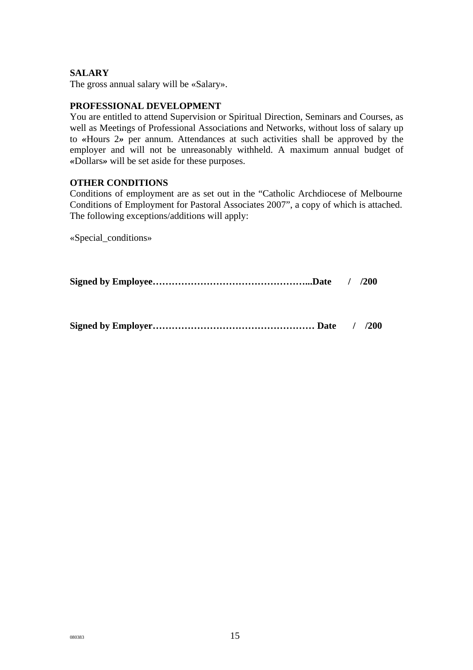## **SALARY**

The gross annual salary will be «Salary».

#### **PROFESSIONAL DEVELOPMENT**

You are entitled to attend Supervision or Spiritual Direction, Seminars and Courses, as well as Meetings of Professional Associations and Networks, without loss of salary up to *«*Hours 2*»* per annum. Attendances at such activities shall be approved by the employer and will not be unreasonably withheld. A maximum annual budget of *«*Dollars*»* will be set aside for these purposes.

#### **OTHER CONDITIONS**

Conditions of employment are as set out in the "Catholic Archdiocese of Melbourne Conditions of Employment for Pastoral Associates 2007", a copy of which is attached. The following exceptions/additions will apply:

«Special\_conditions»

**Signed by Employee…………………………………………...Date / /200** 

**Signed by Employer…………………………………………… Date / /200**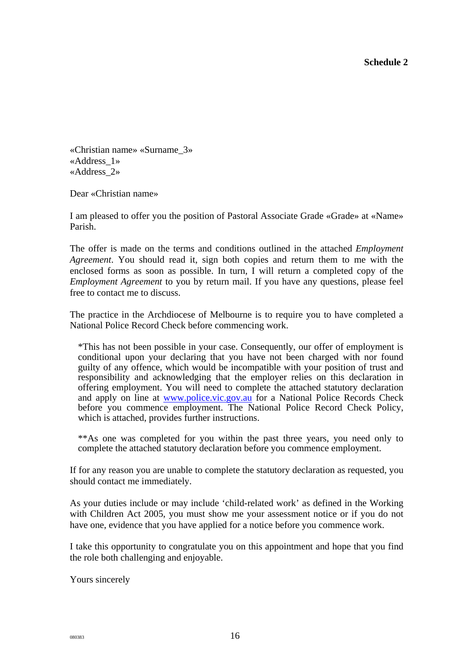**Schedule 2** 

«Christian name» «Surname\_3» «Address\_1» «Address\_2»

Dear «Christian name»

I am pleased to offer you the position of Pastoral Associate Grade «Grade» at «Name» Parish.

The offer is made on the terms and conditions outlined in the attached *Employment Agreement*. You should read it, sign both copies and return them to me with the enclosed forms as soon as possible. In turn, I will return a completed copy of the *Employment Agreement* to you by return mail. If you have any questions, please feel free to contact me to discuss.

The practice in the Archdiocese of Melbourne is to require you to have completed a National Police Record Check before commencing work.

\*This has not been possible in your case. Consequently, our offer of employment is conditional upon your declaring that you have not been charged with nor found guilty of any offence, which would be incompatible with your position of trust and responsibility and acknowledging that the employer relies on this declaration in offering employment. You will need to complete the attached statutory declaration and apply on line at [www.police.vic.gov.au](http://www.police.vic.gov.au/) for a National Police Records Check before you commence employment. The National Police Record Check Policy, which is attached, provides further instructions.

\*\*As one was completed for you within the past three years, you need only to complete the attached statutory declaration before you commence employment.

If for any reason you are unable to complete the statutory declaration as requested, you should contact me immediately.

As your duties include or may include 'child-related work' as defined in the Working with Children Act 2005, you must show me your assessment notice or if you do not have one, evidence that you have applied for a notice before you commence work.

I take this opportunity to congratulate you on this appointment and hope that you find the role both challenging and enjoyable.

Yours sincerely